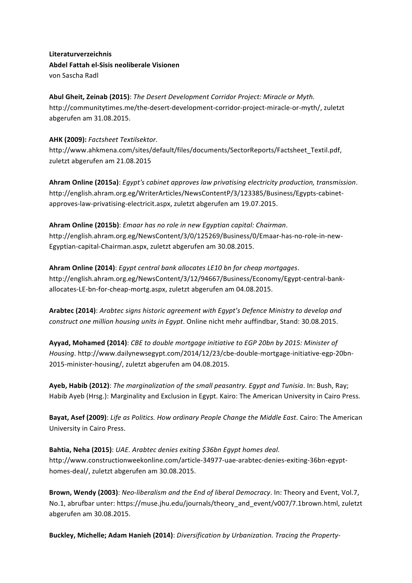**Literaturverzeichnis Abdel Fattah el-Sisis neoliberale Visionen** von Sascha Radl

**Abul Gheit, Zeinab (2015)**: *The Desert Development Corridor Project: Miracle or Myth.* http://communitytimes.me/the-desert-development-corridor-project-miracle-or-myth/, zuletzt abgerufen am 31.08.2015.

## **AHK (2009):** *Factsheet Textilsektor*.

http://www.ahkmena.com/sites/default/files/documents/SectorReports/Factsheet\_Textil.pdf, zuletzt abgerufen am 21.08.2015

Ahram Online (2015a): *Egypt's cabinet approves law privatising electricity production, transmission.* http://english.ahram.org.eg/WriterArticles/NewsContentP/3/123385/Business/Egypts-cabinetapproves-law-privatising-electricit.aspx, zuletzt abgerufen am 19.07.2015.

Ahram Online (2015b): *Emaar has no role in new Egyptian capital: Chairman.* http://english.ahram.org.eg/NewsContent/3/0/125269/Business/0/Emaar-has-no-role-in-new-Egyptian-capital-Chairman.aspx, zuletzt abgerufen am 30.08.2015.

Ahram Online (2014): *Egypt central bank allocates LE10* bn for cheap mortgages. http://english.ahram.org.eg/NewsContent/3/12/94667/Business/Economy/Egypt-central-bankallocates-LE-bn-for-cheap-mortg.aspx, zuletzt abgerufen am 04.08.2015.

Arabtec (2014): Arabtec signs historic agreement with Egypt's Defence Ministry to develop and *construct one million housing units in Egypt*. Online nicht mehr auffindbar, Stand: 30.08.2015.

Ayyad, Mohamed (2014): CBE to double mortgage initiative to EGP 20bn by 2015: Minister of *Housing*. http://www.dailynewsegypt.com/2014/12/23/cbe-double-mortgage-initiative-egp-20bn-2015-minister-housing/, zuletzt abgerufen am 04.08.2015.

Ayeb, Habib (2012): *The marginalization of the small peasantry. Egypt and Tunisia.* In: Bush, Ray; Habib Ayeb (Hrsg.): Marginality and Exclusion in Egypt. Kairo: The American University in Cairo Press.

**Bayat, Asef (2009)**: *Life as Politics. How ordinary People Change the Middle East.* Cairo: The American University in Cairo Press.

**Bahtia, Neha (2015)**: UAE. Arabtec denies exiting \$36bn Egypt homes deal. http://www.constructionweekonline.com/article-34977-uae-arabtec-denies-exiting-36bn-egypthomes-deal/, zuletzt abgerufen am 30.08.2015.

**Brown, Wendy (2003)**: *Neo-liberalism and the End of liberal Democracy*. In: Theory and Event, Vol.7, No.1, abrufbar unter: https://muse.jhu.edu/journals/theory\_and\_event/v007/7.1brown.html, zuletzt abgerufen am 30.08.2015.

Buckley, Michelle; Adam Hanieh (2014): *Diversification by Urbanization. Tracing the Property-*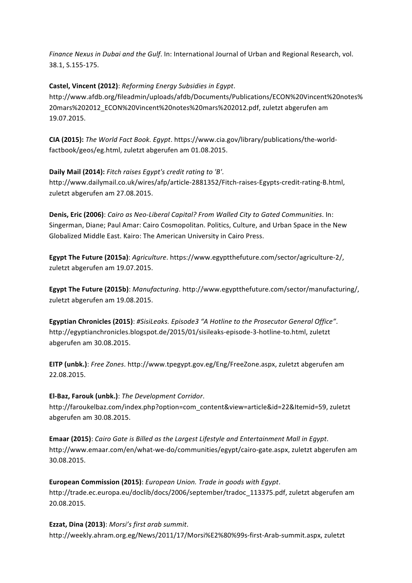*Finance Nexus in Dubai and the Gulf.* In: International Journal of Urban and Regional Research, vol. 38.1, S.155-175.

**Castel, Vincent (2012)**: *Reforming Energy Subsidies in Egypt*. http://www.afdb.org/fileadmin/uploads/afdb/Documents/Publications/ECON%20Vincent%20notes% 20mars%202012\_ECON%20Vincent%20notes%20mars%202012.pdf, zuletzt abgerufen am 19.07.2015.

**CIA (2015):** *The World Fact Book. Egypt*. https://www.cia.gov/library/publications/the-worldfactbook/geos/eg.html, zuletzt abgerufen am 01.08.2015.

**Daily Mail (2014):** Fitch raises Egypt's credit rating to 'B'. http://www.dailymail.co.uk/wires/afp/article-2881352/Fitch-raises-Egypts-credit-rating-B.html, zuletzt abgerufen am 27.08.2015.

**Denis, Eric (2006)**: *Cairo as Neo-Liberal Capital?* From Walled City to Gated Communities. In: Singerman, Diane; Paul Amar: Cairo Cosmopolitan. Politics, Culture, and Urban Space in the New Globalized Middle East. Kairo: The American University in Cairo Press.

**Egypt The Future (2015a)**: *Agriculture*. https://www.egyptthefuture.com/sector/agriculture-2/, zuletzt abgerufen am 19.07.2015.

**Egypt The Future (2015b)**: *Manufacturing*. http://www.egyptthefuture.com/sector/manufacturing/, zuletzt abgerufen am 19.08.2015.

Egyptian Chronicles (2015): #SisiLeaks. Episode3 "A Hotline to the Prosecutor General Office". http://egyptianchronicles.blogspot.de/2015/01/sisileaks-episode-3-hotline-to.html, zuletzt abgerufen am 30.08.2015.

**EITP** (unbk.): *Free Zones.* http://www.tpegypt.gov.eg/Eng/FreeZone.aspx, zuletzt abgerufen am 22.08.2015. 

**El-Baz, Farouk (unbk.)**: *The Development Corridor*. 

http://faroukelbaz.com/index.php?option=com\_content&view=article&id=22&Itemid=59, zuletzt abgerufen am 30.08.2015.

**Emaar (2015)**: *Cairo Gate is Billed as the Largest Lifestyle and Entertainment Mall in Egypt.* http://www.emaar.com/en/what-we-do/communities/egypt/cairo-gate.aspx, zuletzt abgerufen am 30.08.2015.

**European Commission (2015)**: *European Union. Trade in goods with Egypt.* http://trade.ec.europa.eu/doclib/docs/2006/september/tradoc\_113375.pdf, zuletzt abgerufen am 20.08.2015. 

**Ezzat, Dina (2013)**: *Morsi's first arab summit*. http://weekly.ahram.org.eg/News/2011/17/Morsi%E2%80%99s-first-Arab-summit.aspx, zuletzt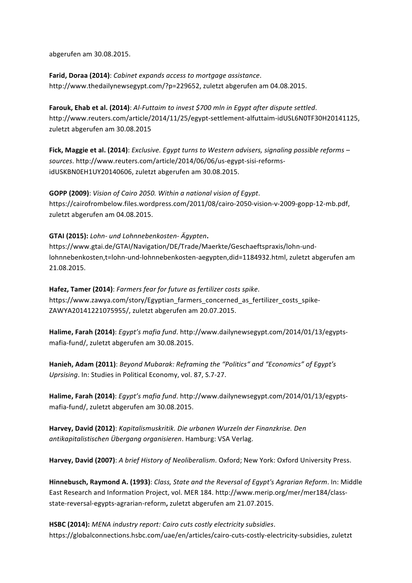abgerufen am 30.08.2015.

**Farid, Doraa (2014)**: *Cabinet expands access to mortgage assistance*. http://www.thedailynewsegypt.com/?p=229652, zuletzt abgerufen am 04.08.2015.

**Farouk, Ehab et al. (2014)**: Al-Futtaim to invest \$700 mln in Egypt after dispute settled. http://www.reuters.com/article/2014/11/25/egypt-settlement-alfuttaim-idUSL6N0TF30H20141125, zuletzt abgerufen am 30.08.2015

**Fick, Maggie et al. (2014)**: *Exclusive. Egypt turns to Western advisers, signaling possible reforms – sources*. http://www.reuters.com/article/2014/06/06/us-egypt-sisi-reformsidUSKBN0EH1UY20140606, zuletzt abgerufen am 30.08.2015.

**GOPP** (2009): *Vision of Cairo 2050. Within a national vision of Egypt.* https://cairofrombelow.files.wordpress.com/2011/08/cairo-2050-vision-v-2009-gopp-12-mb.pdf, zuletzt abgerufen am 04.08.2015.

**GTAI** (2015): *Lohn- und Lohnnebenkosten-* Ägypten.

https://www.gtai.de/GTAI/Navigation/DE/Trade/Maerkte/Geschaeftspraxis/lohn-undlohnnebenkosten,t=lohn-und-lohnnebenkosten-aegypten,did=1184932.html, zuletzt abgerufen am 21.08.2015. 

Hafez, Tamer (2014): Farmers fear for future as fertilizer costs spike. https://www.zawya.com/story/Egyptian\_farmers\_concerned\_as\_fertilizer\_costs\_spike-ZAWYA20141221075955/, zuletzt abgerufen am 20.07.2015.

Halime, Farah (2014): *Egypt's mafia fund*. http://www.dailynewsegypt.com/2014/01/13/egyptsmafia-fund/, zuletzt abgerufen am 30.08.2015.

Hanieh, Adam (2011): Beyond Mubarak: Reframing the "Politics" and "Economics" of Egypt's Uprsising. In: Studies in Political Economy, vol. 87, S.7-27.

Halime, Farah (2014): *Egypt's mafia fund*. http://www.dailynewsegypt.com/2014/01/13/egyptsmafia-fund/, zuletzt abgerufen am 30.08.2015.

Harvey, David (2012): *Kapitalismuskritik. Die urbanen Wurzeln der Finanzkrise. Den antikapitalistischen Übergang organisieren*. Hamburg: VSA Verlag.

Harvey, David (2007): A brief History of Neoliberalism. Oxford; New York: Oxford University Press.

**Hinnebusch, Raymond A. (1993)**: *Class, State and the Reversal of Egypt's Agrarian Reform. In: Middle* East Research and Information Project, vol. MER 184. http://www.merip.org/mer/mer184/classstate-reversal-egypts-agrarian-reform, zuletzt abgerufen am 21.07.2015.

**HSBC (2014):** *MENA industry report: Cairo cuts costly electricity subsidies.* https://globalconnections.hsbc.com/uae/en/articles/cairo-cuts-costly-electricity-subsidies, zuletzt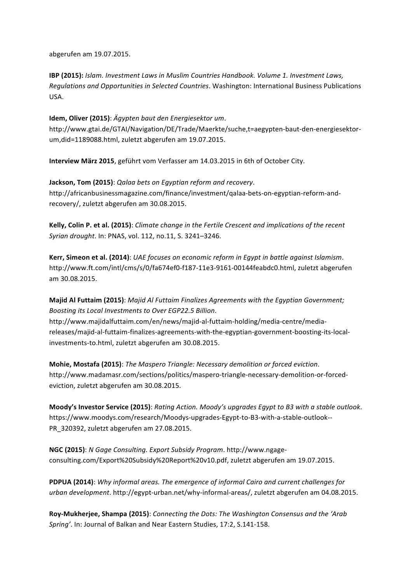abgerufen am 19.07.2015. 

**IBP (2015):** *Islam. Investment Laws in Muslim Countries Handbook. Volume 1. Investment Laws, Regulations and Opportunities in Selected Countries*. Washington: International Business Publications USA. 

**Idem. Oliver (2015)**: Ägypten baut den Energiesektor um. http://www.gtai.de/GTAI/Navigation/DE/Trade/Maerkte/suche,t=aegypten-baut-den-energiesektorum,did=1189088.html, zuletzt abgerufen am 19.07.2015.

**Interview März 2015**, geführt vom Verfasser am 14.03.2015 in 6th of October City.

**Jackson, Tom (2015)**: Qalaa bets on Egyptian reform and recovery. http://africanbusinessmagazine.com/finance/investment/qalaa-bets-on-egyptian-reform-andrecovery/, zuletzt abgerufen am 30.08.2015.

Kelly, Colin P. et al. (2015): *Climate change in the Fertile Crescent and implications of the recent Syrian drought*. In: PNAS, vol. 112, no.11, S. 3241–3246.

Kerr, Simeon et al. (2014): UAE focuses on economic reform in Egypt in battle against Islamism. http://www.ft.com/intl/cms/s/0/fa674ef0-f187-11e3-9161-00144feabdc0.html, zuletzt abgerufen am 30.08.2015. 

**Majid Al Futtaim (2015)**: *Majid Al Futtaim Finalizes Agreements with the Egyptian Government;* Boosting its Local Investments to Over EGP22.5 Billion. http://www.majidalfuttaim.com/en/news/majid-al-futtaim-holding/media-centre/mediareleases/majid-al-futtaim-finalizes-agreements-with-the-egyptian-government-boosting-its-localinvestments-to.html, zuletzt abgerufen am 30.08.2015.

**Mohie, Mostafa (2015)**: The Maspero Triangle: Necessary demolition or forced eviction. http://www.madamasr.com/sections/politics/maspero-triangle-necessary-demolition-or-forcedeviction, zuletzt abgerufen am 30.08.2015.

**Moody's Investor Service (2015)**: *Rating Action. Moody's upgrades Egypt to B3 with a stable outlook.* https://www.moodys.com/research/Moodys-upgrades-Egypt-to-B3-with-a-stable-outlook-- PR 320392, zuletzt abgerufen am 27.08.2015.

**NGC (2015)**: *N Gage Consulting. Export Subsidy Program.* http://www.ngageconsulting.com/Export%20Subsidy%20Report%20v10.pdf, zuletzt abgerufen am 19.07.2015.

**PDPUA (2014)**: *Why informal areas. The emergence of informal Cairo and current challenges for urban development*. http://egypt-urban.net/why-informal-areas/, zuletzt abgerufen am 04.08.2015. 

Roy-Mukherjee, Shampa (2015): Connecting the Dots: The Washington Consensus and the 'Arab Spring'. In: Journal of Balkan and Near Eastern Studies, 17:2, S.141-158.